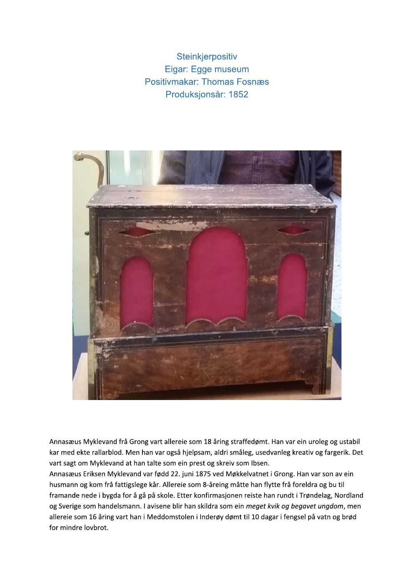Steinkjerpositiv Eigar: Egge museum **Positivmakar: Thomas Fosnæs** Produksjonsår: 1852



Annasæus Myklevand frå Grong vart allereie som 18 åring straffedømt. Han var ein uroleg og ustabil kar med ekte rallarblod. Men han var også hjelpsam, aldri småleg, usedvanleg kreativ og fargerik. Det vart sagt om Myklevand at han talte som ein prest og skreiv som Ibsen.

Annasæus Eriksen Myklevand var fødd 22. juni 1875 ved Møkkelvatnet i Grong. Han var son av ein husmann og kom frå fattigslege kår. Allereie som 8-åreing måtte han flytte frå foreldra og bu til framande nede i bygda for å gå på skole. Etter konfirmasjonen reiste han rundt i Trøndelag, Nordland og Sverige som handelsmann. I avisene blir han skildra som ein meget kvik og begavet ungdom, men allereie som 16 åring vart han i Meddomstolen i Inderøy dømt til 10 dagar i fengsel på vatn og brød for mindre lovbrot.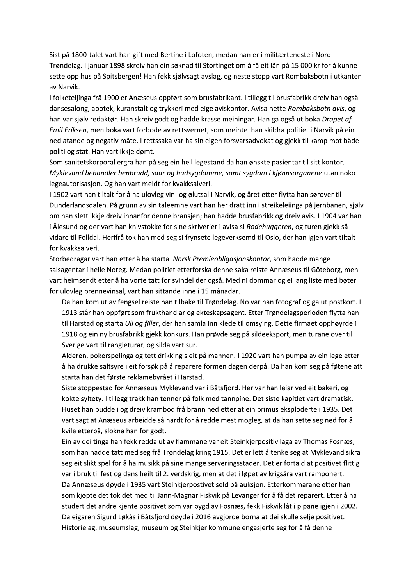Sist på 1800-talet vart han gift med Bertine i Lofoten, medan han er i militærteneste i Nord-Trøndelag. I januar 1898 skreiv han ein søknad til Stortinget om å få eit lån på 15 000 kr for å kunne sette opp hus på Spitsbergen! Han fekk sjølvsagt avslag, og neste stopp vart Rombaksbotn i utkanten av Narvik.

I folketeljinga frå 1900 er Anæseus oppført som brusfabrikant. I tillegg til brusfabrikk dreiv han også dansesalong, apotek, kuranstalt og trykkeri med eige aviskontor. Avisa hette Rombaksbotn avis, og han var sjølv redaktør. Han skreiv godt og hadde krasse meiningar. Han ga også ut boka Drapet af Emil Eriksen, men boka vart forbode av rettsvernet, som meinte han skildra politiet i Narvik på ein nedlatande og negativ måte. I rettssaka var ha sin eigen forsvarsadvokat og gjekk til kamp mot både politi og stat. Han vart ikkje dømt.

Som sanitetskorporal ergra han på seg ein heil legestand da han ønskte pasientar til sitt kontor. Myklevand behandler benbrudd, saar og hudsygdomme, samt sygdom i kjønnsorganene utan noko legeautorisasjon. Og han vart meldt for kvakksalveri.

I 1902 vart han tiltalt for å ha ulovleg vin- og ølutsal i Narvik, og året etter flytta han sørover til Dunderlandsdalen. På grunn av sin taleemne vart han her dratt inn i streikeleiinga på jernbanen, sjølv om han slett ikkje dreiv innanfor denne bransjen; han hadde brusfabrikk og dreiv avis. I 1904 var han i Ålesund og der vart han knivstokke for sine skriverier i avisa si Rodehuggeren, og turen gjekk så vidare til Folldal. Herifrå tok han med seg si frynsete legeverksemd til Oslo, der han igjen vart tiltalt for kvakksalveri.

Storbedragar vart han etter å ha starta Norsk Premieobligasjonskontor, som hadde mange salsagentar i heile Noreg. Medan politiet etterforska denne saka reiste Annæseus til Göteborg, men vart heimsendt etter å ha vorte tatt for svindel der også. Med ni dommar og ei lang liste med bøter for ulovleg brennevinsal, vart han sittande inne i 15 månadar.

Da han kom ut av fengsel reiste han tilbake til Trøndelag. No var han fotograf og ga ut postkort. I 1913 står han oppført som frukthandlar og ekteskapsagent. Etter Trøndelagsperioden flytta han til Harstad og starta Ull og filler, der han samla inn klede til omsying. Dette firmaet opphøyrde i 1918 og ein ny brusfabrikk gjekk konkurs. Han prøvde seg på sildeeksport, men turane over til Sverige vart til rangleturar, og silda vart sur.

Alderen, pokerspelinga og tett drikking sleit på mannen. I 1920 vart han pumpa av ein lege etter å ha drukke saltsyre i eit forsøk på å reparere formen dagen derpå. Da han kom seg på føtene att starta han det første reklamebyrået i Harstad.

Siste stoppestad for Annæseus Myklevand var i Båtsfjord. Her var han leiar ved eit bakeri, og kokte syltety. I tillegg trakk han tenner på folk med tannpine. Det siste kapitlet vart dramatisk. Huset han budde i og dreiv krambod frå brann ned etter at ein primus eksploderte i 1935. Det vart sagt at Anæseus arbeidde så hardt for å redde mest mogleg, at da han sette seg ned for å kvile etterpå, slokna han for godt.

Ein av dei tinga han fekk redda ut av flammane var eit Steinkjerpositiv laga av Thomas Fosnæs, som han hadde tatt med seg frå Trøndelag kring 1915. Det er lett å tenke seg at Myklevand sikra seg eit slikt spel for å ha musikk på sine mange serveringsstader. Det er fortald at positivet flittig var i bruk til fest og dans heilt til 2. verdskrig, men at det i løpet av krigsåra vart ramponert. Da Annæseus døyde i 1935 vart Steinkjerpostivet seld på auksjon. Etterkommarane etter han som kjøpte det tok det med til Jann-Magnar Fiskvik på Levanger for å få det reparert. Etter å ha studert det andre kjente positivet som var bygd av Fosnæs, fekk Fiskvik låt i pipane igjen i 2002. Da eigaren Sigurd Løkås i Båtsfjord døyde i 2016 avgjorde borna at dei skulle selje positivet. Historielag, museumslag, museum og Steinkjer kommune engasjerte seg for å få denne